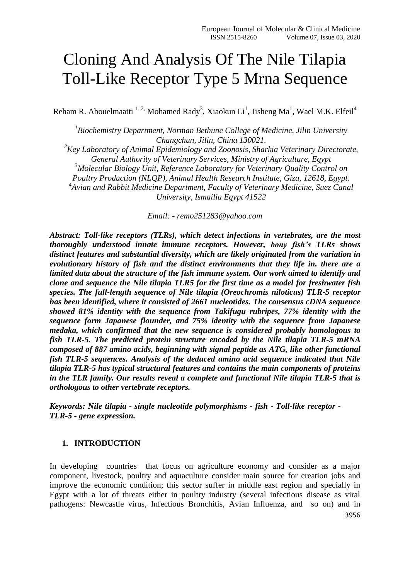# Cloning And Analysis Of The Nile Tilapia Toll-Like Receptor Type 5 Mrna Sequence

Reham R. Abouelmaatti  $^{1,2}$  Mohamed Rady<sup>3</sup>, Xiaokun Li<sup>1</sup>, Jisheng Ma<sup>1</sup>, Wael M.K. Elfeil<sup>4</sup>

<sup>1</sup> Biochemistry Department, Norman Bethune College of Medicine, Jilin University *Changchun, Jilin, China 130021. <sup>2</sup>Key Laboratory of Animal Epidemiology and Zoonosis, Sharkia Veterinary Directorate, General Authority of Veterinary Services, Ministry of Agriculture, Egypt <sup>3</sup>Molecular Biology Unit, Reference Laboratory for Veterinary Quality Control on* 

*Poultry Production (NLQP), Animal Health Research Institute, Giza, 12618, Egypt.*

*4 Avian and Rabbit Medicine Department, Faculty of Veterinary Medicine, Suez Canal University, Ismailia Egypt 41522*

*Email: - remo251283@yahoo.com*

*Abstract: Toll-like receptors (TLRs), which detect infections in vertebrates, are the most thoroughly understood innate immune receptors. However, bony fish's TLRs shows distinct features and substantial diversity, which are likely originated from the variation in evolutionary history of fish and the distinct environments that they life in. there are a limited data about the structure of the fish immune system. Our work aimed to identify and clone and sequence the Nile tilapia TLR5 for the first time as a model for freshwater fish species. The full-length sequence of Nile tilapia (Oreochromis niloticus) TLR-5 receptor has been identified, where it consisted of 2661 nucleotides. The consensus cDNA sequence showed 81% identity with the sequence from Takifugu rubripes, 77% identity with the sequence form Japanese flounder, and 75% identity with the sequence from Japanese medaka, which confirmed that the new sequence is considered probably homologous to fish TLR-5. The predicted protein structure encoded by the Nile tilapia TLR-5 mRNA composed of 887 amino acids, beginning with signal peptide as ATG, like other functional fish TLR-5 sequences. Analysis of the deduced amino acid sequence indicated that Nile tilapia TLR-5 has typical structural features and contains the main components of proteins in the TLR family. Our results reveal a complete and functional Nile tilapia TLR-5 that is orthologous to other vertebrate receptors.*

*Keywords: Nile tilapia - single nucleotide polymorphisms - fish - Toll-like receptor - TLR-5 - gene expression.*

# **1. INTRODUCTION**

3956 In developing countries that focus on agriculture economy and consider as a major component, livestock, poultry and aquaculture consider main source for creation jobs and improve the economic condition; this sector suffer in middle east region and specially in Egypt with a lot of threats either in poultry industry (several infectious disease as viral pathogens: Newcastle virus, Infectious Bronchitis, Avian Influenza, and so on) and in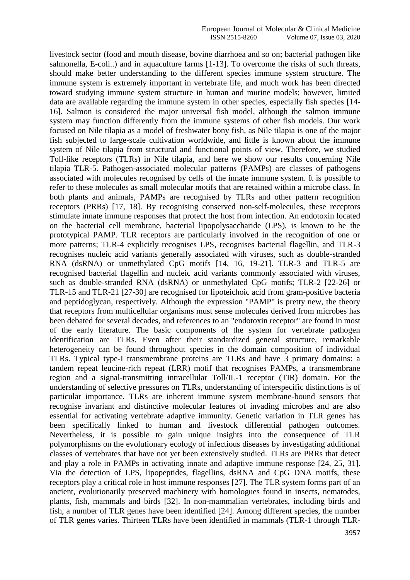livestock sector (food and mouth disease, bovine diarrhoea and so on; bacterial pathogen like salmonella, E-coli..) and in aquaculture farms [1-13]. To overcome the risks of such threats, should make better understanding to the different species immune system structure. The immune system is extremely important in vertebrate life, and much work has been directed toward studying immune system structure in human and murine models; however, limited data are available regarding the immune system in other species, especially fish species [14- 16]. Salmon is considered the major universal fish model, although the salmon immune system may function differently from the immune systems of other fish models. Our work focused on Nile tilapia as a model of freshwater bony fish, as Nile tilapia is one of the major fish subjected to large-scale cultivation worldwide, and little is known about the immune system of Nile tilapia from structural and functional points of view. Therefore, we studied Toll-like receptors (TLRs) in Nile tilapia, and here we show our results concerning Nile tilapia TLR-5. Pathogen-associated molecular patterns (PAMPs) are classes of pathogens associated with molecules recognised by cells of the innate immune system. It is possible to refer to these molecules as small molecular motifs that are retained within a microbe class. In both plants and animals, PAMPs are recognised by TLRs and other pattern recognition receptors (PRRs) [17, 18]. By recognising conserved non-self-molecules, these receptors stimulate innate immune responses that protect the host from infection. An endotoxin located on the bacterial cell membrane, bacterial lipopolysaccharide (LPS), is known to be the prototypical PAMP. TLR receptors are particularly involved in the recognition of one or more patterns; TLR-4 explicitly recognises LPS, recognises bacterial flagellin, and TLR-3 recognises nucleic acid variants generally associated with viruses, such as double-stranded RNA (dsRNA) or unmethylated CpG motifs [14, 16, 19-21]. TLR-3 and TLR-5 are recognised bacterial flagellin and nucleic acid variants commonly associated with viruses, such as double-stranded RNA (dsRNA) or unmethylated CpG motifs; TLR-2 [22-26] or TLR-15 and TLR-21 [27-30] are recognised for lipoteichoic acid from gram-positive bacteria and peptidoglycan, respectively. Although the expression "PAMP" is pretty new, the theory that receptors from multicellular organisms must sense molecules derived from microbes has been debated for several decades, and references to an "endotoxin receptor" are found in most of the early literature. The basic components of the system for vertebrate pathogen identification are TLRs. Even after their standardized general structure, remarkable heterogeneity can be found throughout species in the domain composition of individual TLRs. Typical type-I transmembrane proteins are TLRs and have 3 primary domains: a tandem repeat leucine-rich repeat (LRR) motif that recognises PAMPs, a transmembrane region and a signal-transmitting intracellular Toll/IL-1 receptor (TIR) domain. For the understanding of selective pressures on TLRs, understanding of interspecific distinctions is of particular importance. TLRs are inherent immune system membrane-bound sensors that recognise invariant and distinctive molecular features of invading microbes and are also essential for activating vertebrate adaptive immunity. Genetic variation in TLR genes has been specifically linked to human and livestock differential pathogen outcomes. Nevertheless, it is possible to gain unique insights into the consequence of TLR polymorphisms on the evolutionary ecology of infectious diseases by investigating additional classes of vertebrates that have not yet been extensively studied. TLRs are PRRs that detect and play a role in PAMPs in activating innate and adaptive immune response [24, 25, 31]. Via the detection of LPS, lipopeptides, flagellins, dsRNA and CpG DNA motifs, these receptors play a critical role in host immune responses [27]. The TLR system forms part of an ancient, evolutionarily preserved machinery with homologues found in insects, nematodes, plants, fish, mammals and birds [32]. In non-mammalian vertebrates, including birds and fish, a number of TLR genes have been identified [24]. Among different species, the number of TLR genes varies. Thirteen TLRs have been identified in mammals (TLR-1 through TLR-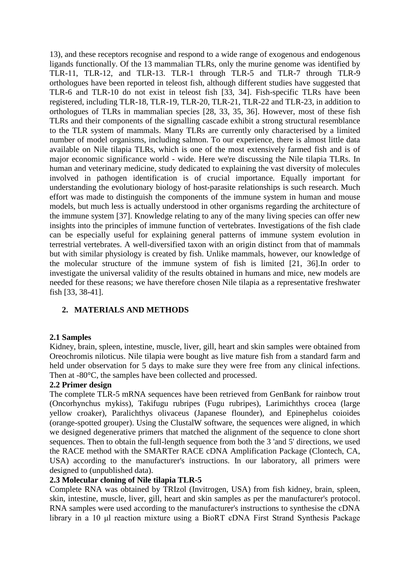13), and these receptors recognise and respond to a wide range of exogenous and endogenous ligands functionally. Of the 13 mammalian TLRs, only the murine genome was identified by TLR-11, TLR-12, and TLR-13. TLR-1 through TLR-5 and TLR-7 through TLR-9 orthologues have been reported in teleost fish, although different studies have suggested that TLR-6 and TLR-10 do not exist in teleost fish [33, 34]. Fish-specific TLRs have been registered, including TLR-18, TLR-19, TLR-20, TLR-21, TLR-22 and TLR-23, in addition to orthologues of TLRs in mammalian species [28, 33, 35, 36]. However, most of these fish TLRs and their components of the signalling cascade exhibit a strong structural resemblance to the TLR system of mammals. Many TLRs are currently only characterised by a limited number of model organisms, including salmon. To our experience, there is almost little data available on Nile tilapia TLRs, which is one of the most extensively farmed fish and is of major economic significance world - wide. Here we're discussing the Nile tilapia TLRs. In human and veterinary medicine, study dedicated to explaining the vast diversity of molecules involved in pathogen identification is of crucial importance. Equally important for understanding the evolutionary biology of host-parasite relationships is such research. Much effort was made to distinguish the components of the immune system in human and mouse models, but much less is actually understood in other organisms regarding the architecture of the immune system [37]. Knowledge relating to any of the many living species can offer new insights into the principles of immune function of vertebrates. Investigations of the fish clade can be especially useful for explaining general patterns of immune system evolution in terrestrial vertebrates. A well-diversified taxon with an origin distinct from that of mammals but with similar physiology is created by fish. Unlike mammals, however, our knowledge of the molecular structure of the immune system of fish is limited [21, 36].In order to investigate the universal validity of the results obtained in humans and mice, new models are needed for these reasons; we have therefore chosen Nile tilapia as a representative freshwater fish [33, 38-41].

# **2. MATERIALS AND METHODS**

# **2.1 Samples**

Kidney, brain, spleen, intestine, muscle, liver, gill, heart and skin samples were obtained from Oreochromis niloticus. Nile tilapia were bought as live mature fish from a standard farm and held under observation for 5 days to make sure they were free from any clinical infections. Then at -80°C, the samples have been collected and processed.

# **2.2 Primer design**

The complete TLR-5 mRNA sequences have been retrieved from GenBank for rainbow trout (Oncorhynchus mykiss), Takifugu rubripes (Fugu rubripes), Larimichthys crocea (large yellow croaker), Paralichthys olivaceus (Japanese flounder), and Epinephelus coioides (orange-spotted grouper). Using the ClustalW software, the sequences were aligned, in which we designed degenerative primers that matched the alignment of the sequence to clone short sequences. Then to obtain the full-length sequence from both the 3 'and 5' directions, we used the RACE method with the SMARTer RACE cDNA Amplification Package (Clontech, CA, USA) according to the manufacturer's instructions. In our laboratory, all primers were designed to (unpublished data).

# **2.3 Molecular cloning of Nile tilapia TLR-5**

Complete RNA was obtained by TRIzol (Invitrogen, USA) from fish kidney, brain, spleen, skin, intestine, muscle, liver, gill, heart and skin samples as per the manufacturer's protocol. RNA samples were used according to the manufacturer's instructions to synthesise the cDNA library in a 10 μl reaction mixture using a BioRT cDNA First Strand Synthesis Package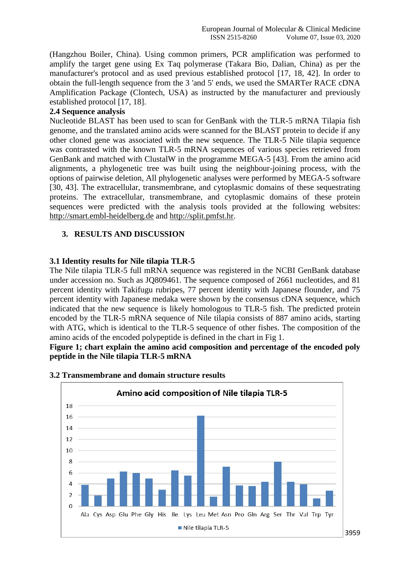(Hangzhou Boiler, China). Using common primers, PCR amplification was performed to amplify the target gene using Ex Taq polymerase (Takara Bio, Dalian, China) as per the manufacturer's protocol and as used previous established protocol [17, 18, 42]. In order to obtain the full-length sequence from the 3 'and 5' ends, we used the SMARTer RACE cDNA Amplification Package (Clontech, USA) as instructed by the manufacturer and previously established protocol [17, 18].

# **2.4 Sequence analysis**

Nucleotide BLAST has been used to scan for GenBank with the TLR-5 mRNA Tilapia fish genome, and the translated amino acids were scanned for the BLAST protein to decide if any other cloned gene was associated with the new sequence. The TLR-5 Nile tilapia sequence was contrasted with the known TLR-5 mRNA sequences of various species retrieved from GenBank and matched with ClustalW in the programme MEGA-5 [43]. From the amino acid alignments, a phylogenetic tree was built using the neighbour-joining process, with the options of pairwise deletion, All phylogenetic analyses were performed by MEGA-5 software [30, 43]. The extracellular, transmembrane, and cytoplasmic domains of these sequestrating proteins. The extracellular, transmembrane, and cytoplasmic domains of these protein sequences were predicted with the analysis tools provided at the following websites: [http://smart.embl-heidelberg.de](http://smart.embl-heidelberg.de/) and [http://split.pmfst.hr.](http://split.pmfst.hr/)

### **3. RESULTS AND DISCUSSION**

### **3.1 Identity results for Nile tilapia TLR-5**

The Nile tilapia TLR-5 full mRNA sequence was registered in the NCBI GenBank database under accession no. Such as JQ809461. The sequence composed of 2661 nucleotides, and 81 percent identity with Takifugu rubripes, 77 percent identity with Japanese flounder, and 75 percent identity with Japanese medaka were shown by the consensus cDNA sequence, which indicated that the new sequence is likely homologous to TLR-5 fish. The predicted protein encoded by the TLR-5 mRNA sequence of Nile tilapia consists of 887 amino acids, starting with ATG, which is identical to the TLR-5 sequence of other fishes. The composition of the amino acids of the encoded polypeptide is defined in the chart in Fig 1.

**Figure 1; chart explain the amino acid composition and percentage of the encoded poly peptide in the Nile tilapia TLR-5 mRNA**



# **3.2 Transmembrane and domain structure results**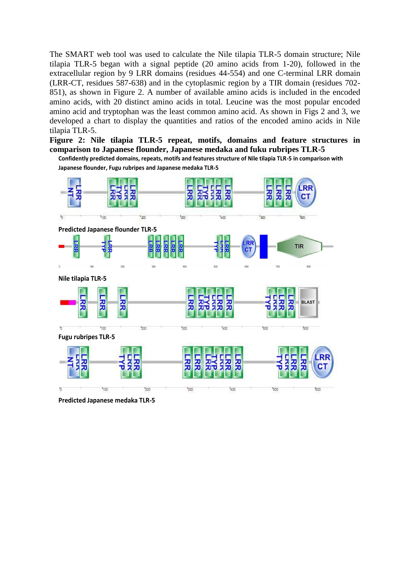The SMART web tool was used to calculate the Nile tilapia TLR-5 domain structure; Nile tilapia TLR-5 began with a signal peptide (20 amino acids from 1-20), followed in the extracellular region by 9 LRR domains (residues 44-554) and one C-terminal LRR domain (LRR-CT, residues 587-638) and in the cytoplasmic region by a TIR domain (residues 702- 851), as shown in Figure 2. A number of available amino acids is included in the encoded amino acids, with 20 distinct amino acids in total. Leucine was the most popular encoded amino acid and tryptophan was the least common amino acid. As shown in Figs 2 and 3, we developed a chart to display the quantities and ratios of the encoded amino acids in Nile tilapia TLR-5.

**Figure 2: Nile tilapia TLR-5 repeat, motifs, domains and feature structures in comparison to Japanese flounder, Japanese medaka and fuku rubripes TLR-5** 

**Confidently predicted domains, repeats, motifs and features structure of Nile tilapia TLR-5 in comparison with Japanese flounder, Fugu rubripes and Japanese medaka TLR-5**



**Predicted Japanese medaka TLR-5**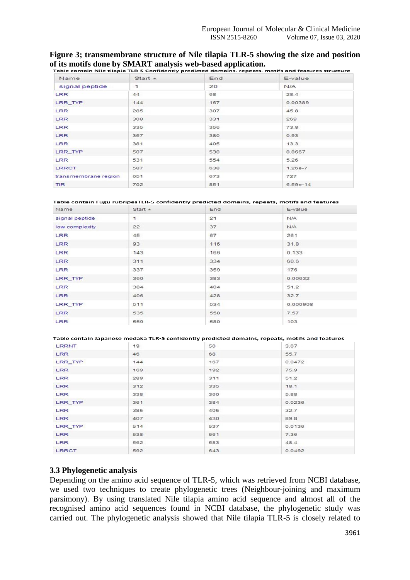### **Figure 3; transmembrane structure of Nile tilapia TLR-5 showing the size and position of its motifs done by SMART analysis web-based application.**

| Name                 | Start A      | End | E-value     |
|----------------------|--------------|-----|-------------|
| signal peptide       | $\mathbf{1}$ | 20  | <b>NIA</b>  |
| <b>LRR</b>           | 44           | 68  | 28.4        |
| LRR_TYP              | 144          | 167 | 0.00389     |
| LRR                  | 285          | 307 | 45.8        |
| LRR                  | 308          | 331 | 269         |
| <b>LRR</b>           | 335          | 356 | 73.8        |
| LRR                  | 357          | 380 | 0.93        |
| LRR                  | 381          | 405 | 13.3        |
| LRR_TYP              | 507          | 530 | 0.0667      |
| LRR                  | 531          | 554 | 5.26        |
| <b>LRRCT</b>         | 587          | 638 | $1.26e - 7$ |
| transmembrane region | 651          | 673 | 727         |
| <b>TIR</b>           | 702          | 851 | $6.59e-14$  |

#### Table contain Fugu rubripesTLR-5 confidently predicted domains, repeats, motifs and features

| Name           | Start A      | End | E-value    |
|----------------|--------------|-----|------------|
| signal peptide | $\mathbf{1}$ | 21  | <b>N/A</b> |
| low complexity | 22           | 37  | <b>N/A</b> |
| LRR            | 45           | 67  | 261        |
| <b>LRR</b>     | 93           | 116 | 31.8       |
| LRR            | 143          | 166 | 0.133      |
| <b>LRR</b>     | 311          | 334 | 60.6       |
| LRR            | 337          | 359 | 176        |
| LRR_TYP        | 360          | 383 | 0.00632    |
| <b>LRR</b>     | 384          | 404 | 51.2       |
| LRR            | 406          | 428 | 32.7       |
| LRR_TYP        | 511          | 534 | 0.000908   |
| <b>LRR</b>     | 535          | 558 | 7.57       |
| LRR            | 559          | 580 | 103        |

#### Table contain Japanese medaka TLR-5 confidently predicted domains, repeats, motifs and features

| LRRNT        | 19  | 50  | 3.07   |
|--------------|-----|-----|--------|
| LRR          | 46  | 68  | 55.7   |
| LRR_TYP      | 144 | 167 | 0.0472 |
| LRR          | 169 | 192 | 75.9   |
| LRR          | 289 | 311 | 51.2   |
| <b>LRR</b>   | 312 | 335 | 18.1   |
| LRR          | 338 | 360 | 5.88   |
| LRR_TYP      | 361 | 384 | 0.0236 |
| LRR          | 385 | 405 | 32.7   |
| LRR          | 407 | 430 | 89.8   |
| LRR_TYP      | 514 | 537 | 0.0136 |
| <b>LRR</b>   | 538 | 561 | 7.36   |
| LRR          | 562 | 583 | 48.4   |
| <b>LRRCT</b> | 592 | 643 | 0.0492 |

### **3.3 Phylogenetic analysis**

Depending on the amino acid sequence of TLR-5, which was retrieved from NCBI database, we used two techniques to create phylogenetic trees (Neighbour-joining and maximum parsimony). By using translated Nile tilapia amino acid sequence and almost all of the recognised amino acid sequences found in NCBI database, the phylogenetic study was carried out. The phylogenetic analysis showed that Nile tilapia TLR-5 is closely related to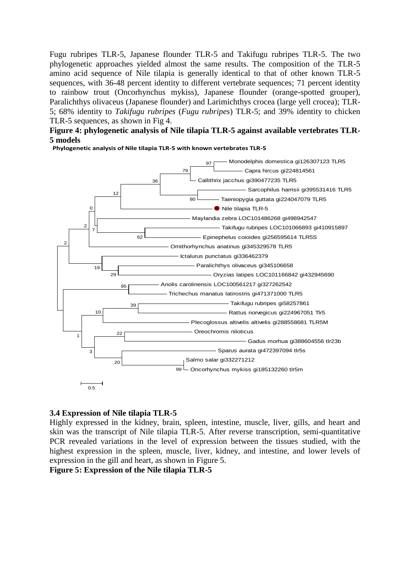Fugu rubripes TLR-5, Japanese flounder TLR-5 and Takifugu rubripes TLR-5. The two phylogenetic approaches yielded almost the same results. The composition of the TLR-5 amino acid sequence of Nile tilapia is generally identical to that of other known TLR-5 sequences, with 36-48 percent identity to different vertebrate sequences; 71 percent identity to rainbow trout (Oncorhynchus mykiss), Japanese flounder (orange-spotted grouper), Paralichthys olivaceus (Japanese flounder) and Larimichthys crocea (large yell crocea); TLR-5; 68% identity to *Takifugu rubripes* (*Fugu rubripes*) TLR-5; and 39% identity to chicken TLR-5 sequences, as shown in Fig 4.

# **Figure 4: phylogenetic analysis of Nile tilapia TLR-5 against available vertebrates TLR-5 models**

**Phylogenetic analysis of Nile tilapia TLR-5 with known vertebrates TLR-5**



# **3.4 Expression of Nile tilapia TLR-5**

Highly expressed in the kidney, brain, spleen, intestine, muscle, liver, gills, and heart and skin was the transcript of Nile tilapia TLR-5. After reverse transcription, semi-quantitative PCR revealed variations in the level of expression between the tissues studied, with the highest expression in the spleen, muscle, liver, kidney, and intestine, and lower levels of expression in the gill and heart, as shown in Figure 5.

**Figure 5: Expression of the Nile tilapia TLR-5**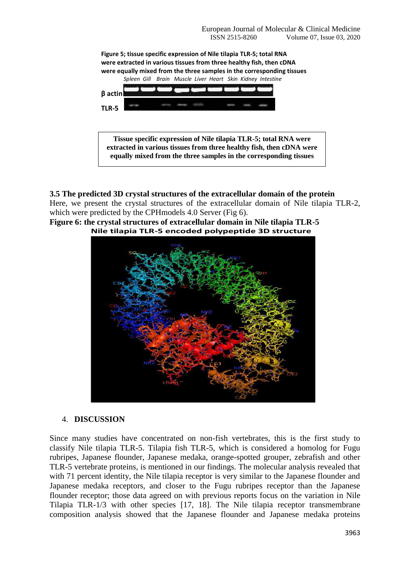

**3.5 The predicted 3D crystal structures of the extracellular domain of the protein** Here, we present the crystal structures of the extracellular domain of Nile tilapia TLR-2, which were predicted by the CPHmodels 4.0 Server (Fig 6).





# 4. **DISCUSSION**

Since many studies have concentrated on non-fish vertebrates, this is the first study to classify Nile tilapia TLR-5. Tilapia fish TLR-5, which is considered a homolog for Fugu rubripes, Japanese flounder, Japanese medaka, orange-spotted grouper, zebrafish and other TLR-5 vertebrate proteins, is mentioned in our findings. The molecular analysis revealed that with 71 percent identity, the Nile tilapia receptor is very similar to the Japanese flounder and Japanese medaka receptors, and closer to the Fugu rubripes receptor than the Japanese flounder receptor; those data agreed on with previous reports focus on the variation in Nile Tilapia TLR-1/3 with other species [17, 18]. The Nile tilapia receptor transmembrane composition analysis showed that the Japanese flounder and Japanese medaka proteins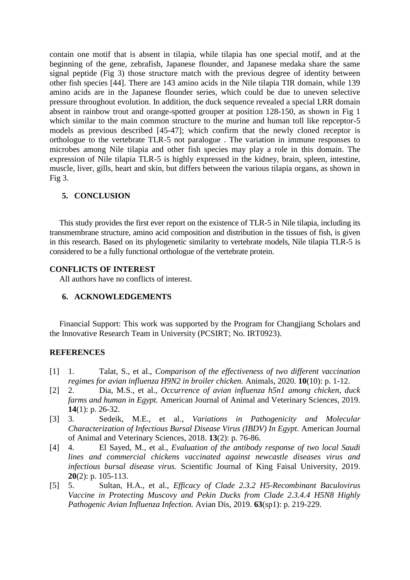contain one motif that is absent in tilapia, while tilapia has one special motif, and at the beginning of the gene, zebrafish, Japanese flounder, and Japanese medaka share the same signal peptide (Fig 3) those structure match with the previous degree of identity between other fish species [44]. There are 143 amino acids in the Nile tilapia TIR domain, while 139 amino acids are in the Japanese flounder series, which could be due to uneven selective pressure throughout evolution. In addition, the duck sequence revealed a special LRR domain absent in rainbow trout and orange-spotted grouper at position 128-150, as shown in Fig 1 which similar to the main common structure to the murine and human toll like repceptor-5 models as previous described [45-47]; which confirm that the newly cloned receptor is orthologue to the vertebrate TLR-5 not paralogue . The variation in immune responses to microbes among Nile tilapia and other fish species may play a role in this domain. The expression of Nile tilapia TLR-5 is highly expressed in the kidney, brain, spleen, intestine, muscle, liver, gills, heart and skin, but differs between the various tilapia organs, as shown in Fig 3.

### **5. CONCLUSION**

This study provides the first ever report on the existence of TLR-5 in Nile tilapia, including its transmembrane structure, amino acid composition and distribution in the tissues of fish, is given in this research. Based on its phylogenetic similarity to vertebrate models, Nile tilapia TLR-5 is considered to be a fully functional orthologue of the vertebrate protein.

# **CONFLICTS OF INTEREST**

All authors have no conflicts of interest.

### **6. ACKNOWLEDGEMENTS**

Financial Support: This work was supported by the Program for Changjiang Scholars and the Innovative Research Team in University (PCSIRT; No. IRT0923).

### **REFERENCES**

- [1] 1. Talat, S., et al., *Comparison of the effectiveness of two different vaccination regimes for avian influenza H9N2 in broiler chicken.* Animals, 2020. **10**(10): p. 1-12.
- [2] 2. Dia, M.S., et al., *Occurrence of avian influenza h5n1 among chicken, duck farms and human in Egypt.* American Journal of Animal and Veterinary Sciences, 2019. **14**(1): p. 26-32.
- [3] 3. Sedeik, M.E., et al., *Variations in Pathogenicity and Molecular Characterization of Infectious Bursal Disease Virus (IBDV) In Egypt.* American Journal of Animal and Veterinary Sciences, 2018. **13**(2): p. 76-86.
- [4] 4. El Sayed, M., et al., *Evaluation of the antibody response of two local Saudi lines and commercial chickens vaccinated against newcastle diseases virus and infectious bursal disease virus.* Scientific Journal of King Faisal University, 2019. **20**(2): p. 105-113.
- [5] 5. Sultan, H.A., et al., *Efficacy of Clade 2.3.2 H5-Recombinant Baculovirus Vaccine in Protecting Muscovy and Pekin Ducks from Clade 2.3.4.4 H5N8 Highly Pathogenic Avian Influenza Infection.* Avian Dis, 2019. **63**(sp1): p. 219-229.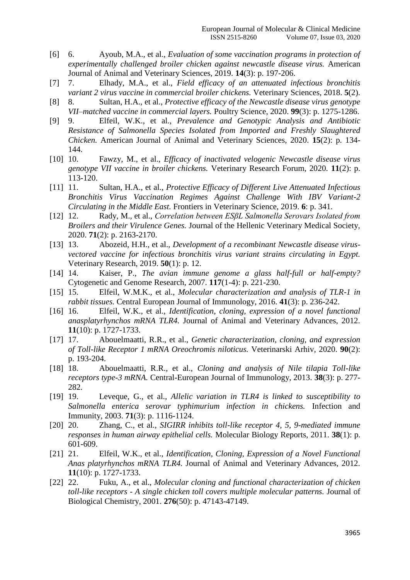- [6] 6. Ayoub, M.A., et al., *Evaluation of some vaccination programs in protection of experimentally challenged broiler chicken against newcastle disease virus.* American Journal of Animal and Veterinary Sciences, 2019. **14**(3): p. 197-206.
- [7] 7. Elhady, M.A., et al., *Field efficacy of an attenuated infectious bronchitis variant 2 virus vaccine in commercial broiler chickens.* Veterinary Sciences, 2018. **5**(2).
- [8] 8. Sultan, H.A., et al., *Protective efficacy of the Newcastle disease virus genotype VII–matched vaccine in commercial layers.* Poultry Science, 2020. **99**(3): p. 1275-1286.
- [9] 9. Elfeil, W.K., et al., *Prevalence and Genotypic Analysis and Antibiotic Resistance of Salmonella Species Isolated from Imported and Freshly Slaughtered Chicken.* American Journal of Animal and Veterinary Sciences, 2020. **15**(2): p. 134- 144.
- [10] 10. Fawzy, M., et al., *Efficacy of inactivated velogenic Newcastle disease virus genotype VII vaccine in broiler chickens.* Veterinary Research Forum, 2020. **11**(2): p. 113-120.
- [11] 11. Sultan, H.A., et al., *Protective Efficacy of Different Live Attenuated Infectious Bronchitis Virus Vaccination Regimes Against Challenge With IBV Variant-2 Circulating in the Middle East.* Frontiers in Veterinary Science, 2019. **6**: p. 341.
- [12] 12. Rady, M., et al., *Correlation between ESβL Salmonella Serovars Isolated from Broilers and their Virulence Genes.* Journal of the Hellenic Veterinary Medical Society, 2020. **71**(2): p. 2163-2170.
- [13] 13. Abozeid, H.H., et al., *Development of a recombinant Newcastle disease virusvectored vaccine for infectious bronchitis virus variant strains circulating in Egypt.* Veterinary Research, 2019. **50**(1): p. 12.
- [14] 14. Kaiser, P., *The avian immune genome a glass half-full or half-empty?* Cytogenetic and Genome Research, 2007. **117**(1-4): p. 221-230.
- [15] 15. Elfeil, W.M.K., et al., *Molecular characterization and analysis of TLR-1 in rabbit tissues.* Central European Journal of Immunology, 2016. **41**(3): p. 236-242.
- [16] 16. Elfeil, W.K., et al., *Identification, cloning, expression of a novel functional anasplatyrhynchos mRNA TLR4.* Journal of Animal and Veterinary Advances, 2012. **11**(10): p. 1727-1733.
- [17] 17. Abouelmaatti, R.R., et al., *Genetic characterization, cloning, and expression of Toll-like Receptor 1 mRNA Oreochromis niloticus.* Veterinarski Arhiv, 2020. **90**(2): p. 193-204.
- [18] 18. Abouelmaatti, R.R., et al., *Cloning and analysis of Nile tilapia Toll-like receptors type-3 mRNA.* Central-European Journal of Immunology, 2013. **38**(3): p. 277- 282.
- [19] 19. Leveque, G., et al., *Allelic variation in TLR4 is linked to susceptibility to Salmonella enterica serovar typhimurium infection in chickens.* Infection and Immunity, 2003. **71**(3): p. 1116-1124.
- [20] 20. Zhang, C., et al., *SIGIRR inhibits toll-like receptor 4, 5, 9-mediated immune responses in human airway epithelial cells.* Molecular Biology Reports, 2011. **38**(1): p. 601-609.
- [21] 21. Elfeil, W.K., et al., *Identification, Cloning, Expression of a Novel Functional Anas platyrhynchos mRNA TLR4.* Journal of Animal and Veterinary Advances, 2012. **11**(10): p. 1727-1733.
- [22] 22. Fuku, A., et al., *Molecular cloning and functional characterization of chicken toll-like receptors - A single chicken toll covers multiple molecular patterns.* Journal of Biological Chemistry, 2001. **276**(50): p. 47143-47149.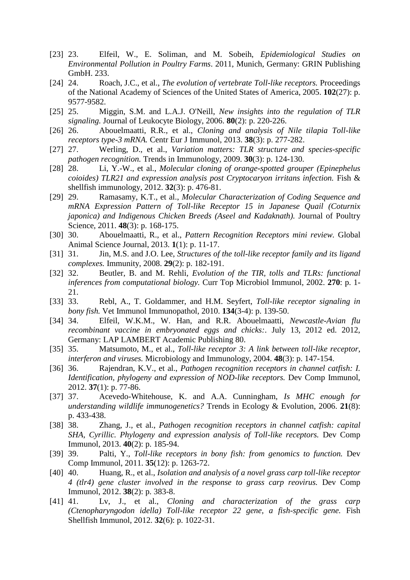- [23] 23. Elfeil, W., E. Soliman, and M. Sobeih, *Epidemiological Studies on Environmental Pollution in Poultry Farms*. 2011, Munich, Germany: GRIN Publishing GmbH. 233.
- [24] 24. Roach, J.C., et al., *The evolution of vertebrate Toll-like receptors.* Proceedings of the National Academy of Sciences of the United States of America, 2005. **102**(27): p. 9577-9582.
- [25] 25. Miggin, S.M. and L.A.J. O'Neill, *New insights into the regulation of TLR signaling.* Journal of Leukocyte Biology, 2006. **80**(2): p. 220-226.
- [26] 26. Abouelmaatti, R.R., et al., *Cloning and analysis of Nile tilapia Toll-like receptors type-3 mRNA.* Centr Eur J Immunol, 2013. **38**(3): p. 277-282.
- [27] 27. Werling, D., et al., *Variation matters: TLR structure and species-specific pathogen recognition.* Trends in Immunology, 2009. **30**(3): p. 124-130.
- [28] 28. Li, Y.-W., et al., *Molecular cloning of orange-spotted grouper (Epinephelus coioides) TLR21 and expression analysis post Cryptocaryon irritans infection.* Fish & shellfish immunology, 2012. **32**(3): p. 476-81.
- [29] 29. Ramasamy, K.T., et al., *Molecular Characterization of Coding Sequence and mRNA Expression Pattern of Toll-like Receptor 15 in Japanese Quail (Coturnix japonica) and Indigenous Chicken Breeds (Aseel and Kadaknath).* Journal of Poultry Science, 2011. **48**(3): p. 168-175.
- [30] 30. Abouelmaatti, R., et al., *Pattern Recognition Receptors mini review.* Global Animal Science Journal, 2013. **1**(1): p. 11-17.
- [31] 31. Jin, M.S. and J.O. Lee, *Structures of the toll-like receptor family and its ligand complexes.* Immunity, 2008. **29**(2): p. 182-191.
- [32] 32. Beutler, B. and M. Rehli, *Evolution of the TIR, tolls and TLRs: functional inferences from computational biology.* Curr Top Microbiol Immunol, 2002. **270**: p. 1- 21.
- [33] 33. Rebl, A., T. Goldammer, and H.M. Seyfert, *Toll-like receptor signaling in bony fish.* Vet Immunol Immunopathol, 2010. **134**(3-4): p. 139-50.
- [34] 34. Elfeil, W.K.M., W. Han, and R.R. Abouelmaatti, *Newcastle-Avian flu recombinant vaccine in embryonated eggs and chicks:*. July 13, 2012 ed. 2012, Germany: LAP LAMBERT Academic Publishing 80.
- [35] 35. Matsumoto, M., et al., *Toll-like receptor 3: A link between toll-like receptor, interferon and viruses.* Microbiology and Immunology, 2004. **48**(3): p. 147-154.
- [36] 36. Rajendran, K.V., et al., *Pathogen recognition receptors in channel catfish: I. Identification, phylogeny and expression of NOD-like receptors.* Dev Comp Immunol, 2012. **37**(1): p. 77-86.
- [37] 37. Acevedo-Whitehouse, K. and A.A. Cunningham, *Is MHC enough for understanding wildlife immunogenetics?* Trends in Ecology & Evolution, 2006. **21**(8): p. 433-438.
- [38] 38. Zhang, J., et al., *Pathogen recognition receptors in channel catfish: capital SHA, Cyrillic. Phylogeny and expression analysis of Toll-like receptors.* Dev Comp Immunol, 2013. **40**(2): p. 185-94.
- [39] 39. Palti, Y., *Toll-like receptors in bony fish: from genomics to function.* Dev Comp Immunol, 2011. **35**(12): p. 1263-72.
- [40] 40. Huang, R., et al., *Isolation and analysis of a novel grass carp toll-like receptor 4 (tlr4) gene cluster involved in the response to grass carp reovirus.* Dev Comp Immunol, 2012. **38**(2): p. 383-8.
- [41] 41. Lv, J., et al., *Cloning and characterization of the grass carp (Ctenopharyngodon idella) Toll-like receptor 22 gene, a fish-specific gene.* Fish Shellfish Immunol, 2012. **32**(6): p. 1022-31.